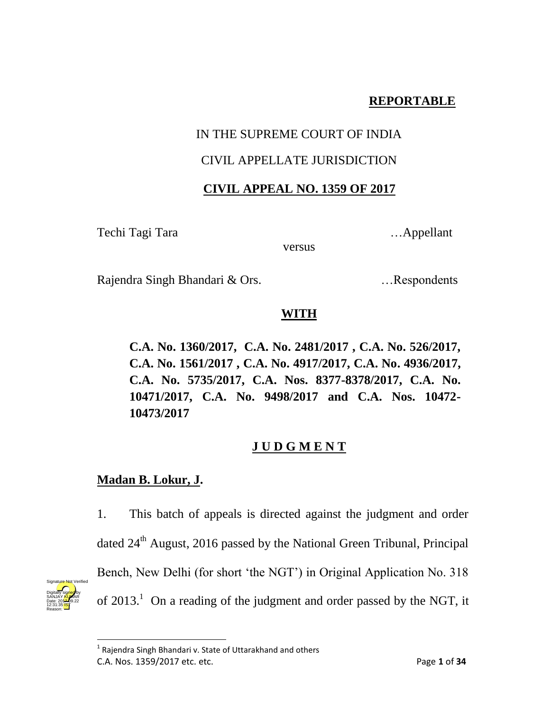# **REPORTABLE**

### IN THE SUPREME COURT OF INDIA

## CIVIL APPELLATE JURISDICTION

### **CIVIL APPEAL NO. 1359 OF 2017**

Techi Tagi Tara …... Appellant

versus

Rajendra Singh Bhandari & Ors. …Respondents

# **WITH**

**C.A. No. 1360/2017, C.A. No. 2481/2017 , C.A. No. 526/2017, C.A. No. 1561/2017 , C.A. No. 4917/2017, C.A. No. 4936/2017, C.A. No. 5735/2017, C.A. Nos. 8377-8378/2017, C.A. No. 10471/2017, C.A. No. 9498/2017 and C.A. Nos. 10472- 10473/2017**

# **J U D G M E N T**

# **Madan B. Lokur, J.**

1. This batch of appeals is directed against the judgment and order dated  $24<sup>th</sup>$  August, 2016 passed by the National Green Tribunal, Principal Bench, New Delhi (for short 'the NGT') in Original Application No. 318 of  $2013$ <sup>1</sup>. On a reading of the judgment and order passed by the NGT, it



C.A. Nos. 1359/2017 etc. etc. Page **1** of **34 Than Tandary**<br><sup>1</sup> Rajendra Singh Bhandari v. State of Uttarakhand and others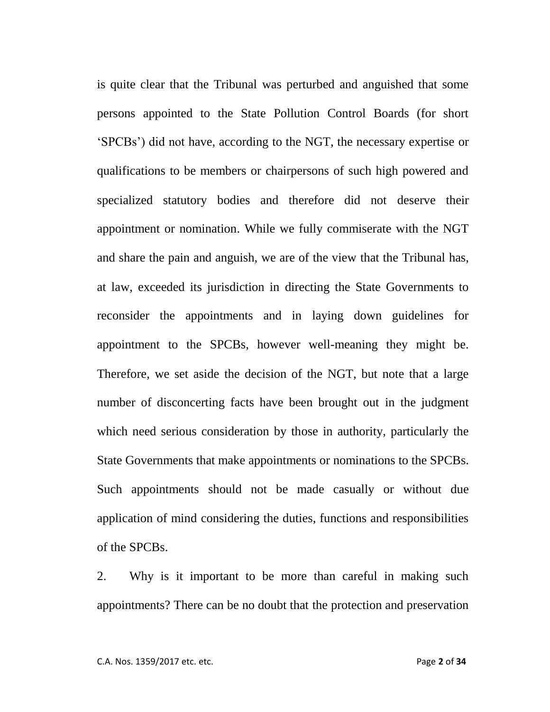is quite clear that the Tribunal was perturbed and anguished that some persons appointed to the State Pollution Control Boards (for short 'SPCBs') did not have, according to the NGT, the necessary expertise or qualifications to be members or chairpersons of such high powered and specialized statutory bodies and therefore did not deserve their appointment or nomination. While we fully commiserate with the NGT and share the pain and anguish, we are of the view that the Tribunal has, at law, exceeded its jurisdiction in directing the State Governments to reconsider the appointments and in laying down guidelines for appointment to the SPCBs, however well-meaning they might be. Therefore, we set aside the decision of the NGT, but note that a large number of disconcerting facts have been brought out in the judgment which need serious consideration by those in authority, particularly the State Governments that make appointments or nominations to the SPCBs. Such appointments should not be made casually or without due application of mind considering the duties, functions and responsibilities of the SPCBs.

2. Why is it important to be more than careful in making such appointments? There can be no doubt that the protection and preservation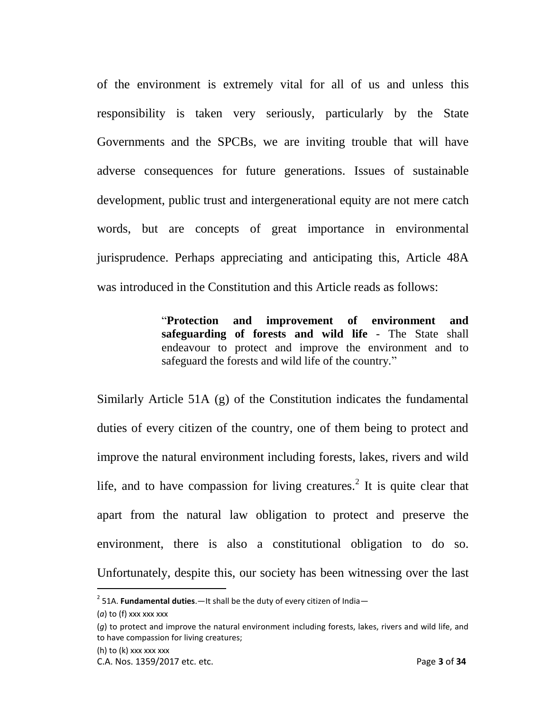of the environment is extremely vital for all of us and unless this responsibility is taken very seriously, particularly by the State Governments and the SPCBs, we are inviting trouble that will have adverse consequences for future generations. Issues of sustainable development, public trust and intergenerational equity are not mere catch words, but are concepts of great importance in environmental jurisprudence. Perhaps appreciating and anticipating this, Article 48A was introduced in the Constitution and this Article reads as follows:

> "**Protection and improvement of environment and safeguarding of forests and wild life** - The State shall endeavour to protect and improve the environment and to safeguard the forests and wild life of the country."

Similarly Article 51A (g) of the Constitution indicates the fundamental duties of every citizen of the country, one of them being to protect and improve the natural environment including forests, lakes, rivers and wild life, and to have compassion for living creatures.<sup>2</sup> It is quite clear that apart from the natural law obligation to protect and preserve the environment, there is also a constitutional obligation to do so. Unfortunately, despite this, our society has been witnessing over the last

 $\overline{\phantom{a}}$ 

<sup>2</sup> 51A. **Fundamental duties**.—It shall be the duty of every citizen of India—

<sup>(</sup>*a*) to (f) xxx xxx xxx

<sup>(</sup>*g*) to protect and improve the natural environment including forests, lakes, rivers and wild life, and to have compassion for living creatures;

<sup>(</sup>h) to (k) xxx xxx xxx

C.A. Nos. 1359/2017 etc. etc. Page **3** of **34**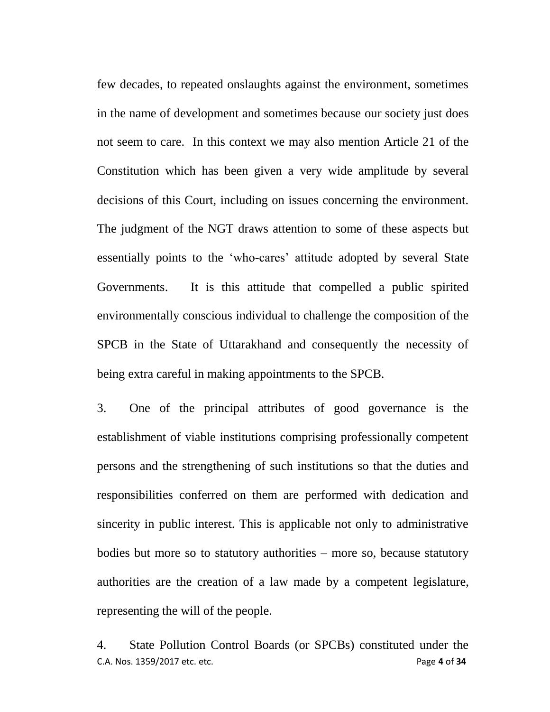few decades, to repeated onslaughts against the environment, sometimes in the name of development and sometimes because our society just does not seem to care. In this context we may also mention Article 21 of the Constitution which has been given a very wide amplitude by several decisions of this Court, including on issues concerning the environment. The judgment of the NGT draws attention to some of these aspects but essentially points to the 'who-cares' attitude adopted by several State Governments. It is this attitude that compelled a public spirited environmentally conscious individual to challenge the composition of the SPCB in the State of Uttarakhand and consequently the necessity of being extra careful in making appointments to the SPCB.

3. One of the principal attributes of good governance is the establishment of viable institutions comprising professionally competent persons and the strengthening of such institutions so that the duties and responsibilities conferred on them are performed with dedication and sincerity in public interest. This is applicable not only to administrative bodies but more so to statutory authorities – more so, because statutory authorities are the creation of a law made by a competent legislature, representing the will of the people.

C.A. Nos. 1359/2017 etc. etc. Page **4** of **34** 4. State Pollution Control Boards (or SPCBs) constituted under the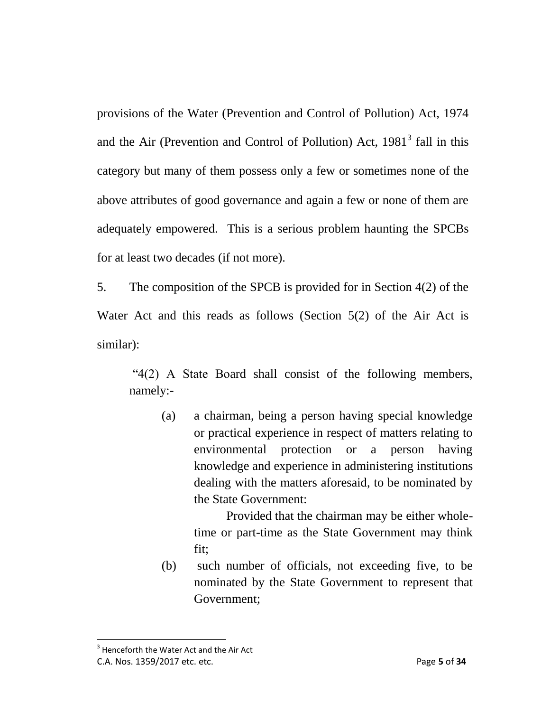provisions of the Water (Prevention and Control of Pollution) Act, 1974 and the Air (Prevention and Control of Pollution) Act,  $1981<sup>3</sup>$  fall in this category but many of them possess only a few or sometimes none of the above attributes of good governance and again a few or none of them are adequately empowered. This is a serious problem haunting the SPCBs for at least two decades (if not more).

5. The composition of the SPCB is provided for in Section 4(2) of the Water Act and this reads as follows (Section 5(2) of the Air Act is similar):

"4(2) A State Board shall consist of the following members, namely:-

(a) a chairman, being a person having special knowledge or practical experience in respect of matters relating to environmental protection or a person having knowledge and experience in administering institutions dealing with the matters aforesaid, to be nominated by the State Government:

> Provided that the chairman may be either wholetime or part-time as the State Government may think fit;

(b) such number of officials, not exceeding five, to be nominated by the State Government to represent that Government;

C.A. Nos. 1359/2017 etc. etc. Page **5** of **34**  $3$  Henceforth the Water Act and the Air Act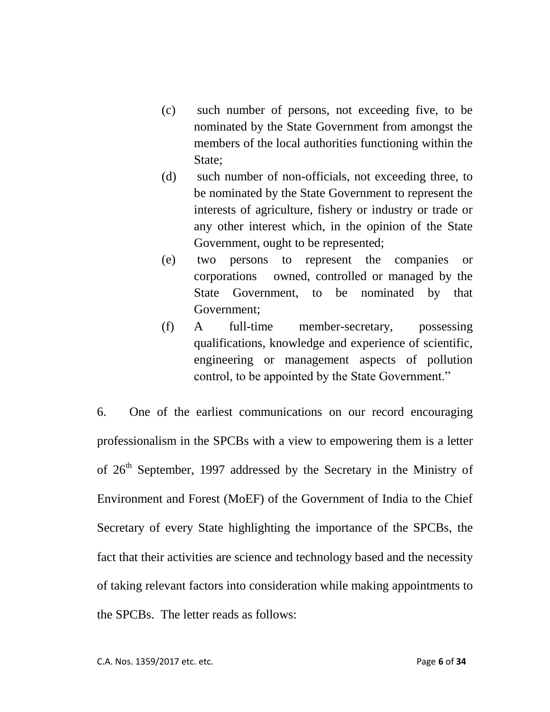- (c) such number of persons, not exceeding five, to be nominated by the State Government from amongst the members of the local authorities functioning within the State;
- (d) such number of non-officials, not exceeding three, to be nominated by the State Government to represent the interests of agriculture, fishery or industry or trade or any other interest which, in the opinion of the State Government, ought to be represented;
- (e) two persons to represent the companies or corporations owned, controlled or managed by the State Government, to be nominated by that Government;
- (f) A full-time member-secretary, possessing qualifications, knowledge and experience of scientific, engineering or management aspects of pollution control, to be appointed by the State Government."

6. One of the earliest communications on our record encouraging professionalism in the SPCBs with a view to empowering them is a letter of  $26<sup>th</sup>$  September, 1997 addressed by the Secretary in the Ministry of Environment and Forest (MoEF) of the Government of India to the Chief Secretary of every State highlighting the importance of the SPCBs, the fact that their activities are science and technology based and the necessity of taking relevant factors into consideration while making appointments to the SPCBs. The letter reads as follows: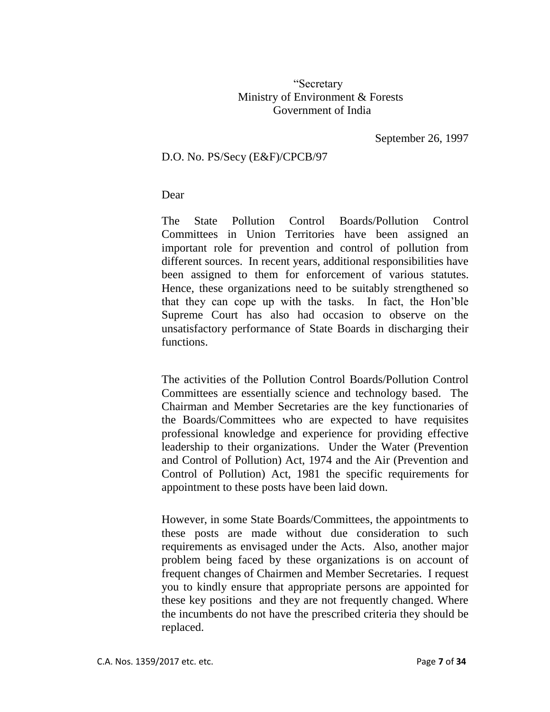### "Secretary Ministry of Environment & Forests Government of India

September 26, 1997

#### D.O. No. PS/Secy (E&F)/CPCB/97

#### Dear

The State Pollution Control Boards/Pollution Control Committees in Union Territories have been assigned an important role for prevention and control of pollution from different sources. In recent years, additional responsibilities have been assigned to them for enforcement of various statutes. Hence, these organizations need to be suitably strengthened so that they can cope up with the tasks. In fact, the Hon'ble Supreme Court has also had occasion to observe on the unsatisfactory performance of State Boards in discharging their functions.

The activities of the Pollution Control Boards/Pollution Control Committees are essentially science and technology based. The Chairman and Member Secretaries are the key functionaries of the Boards/Committees who are expected to have requisites professional knowledge and experience for providing effective leadership to their organizations. Under the Water (Prevention and Control of Pollution) Act, 1974 and the Air (Prevention and Control of Pollution) Act, 1981 the specific requirements for appointment to these posts have been laid down.

However, in some State Boards/Committees, the appointments to these posts are made without due consideration to such requirements as envisaged under the Acts. Also, another major problem being faced by these organizations is on account of frequent changes of Chairmen and Member Secretaries. I request you to kindly ensure that appropriate persons are appointed for these key positions and they are not frequently changed. Where the incumbents do not have the prescribed criteria they should be replaced.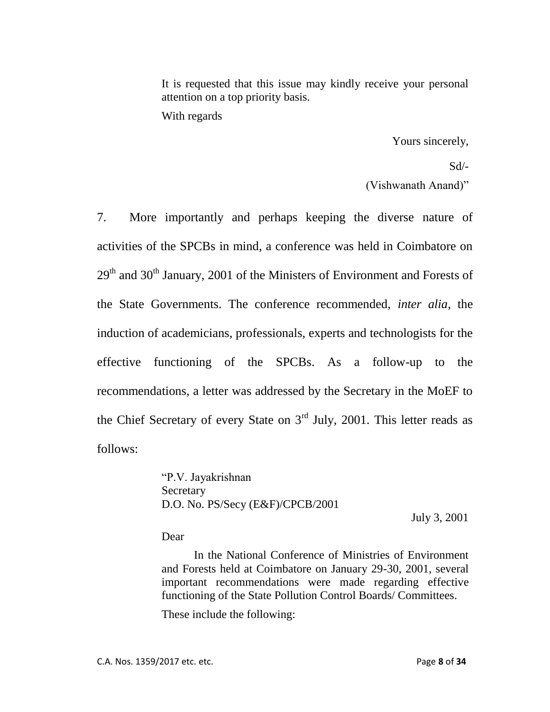It is requested that this issue may kindly receive your personal attention on a top priority basis.

With regards

Yours sincerely,

 $Sd$ <sup>-</sup>

(Vishwanath Anand)"

7. More importantly and perhaps keeping the diverse nature of activities of the SPCBs in mind, a conference was held in Coimbatore on  $29<sup>th</sup>$  and  $30<sup>th</sup>$  January, 2001 of the Ministers of Environment and Forests of the State Governments. The conference recommended, *inter alia*, the induction of academicians, professionals, experts and technologists for the effective functioning of the SPCBs. As a follow-up to the recommendations, a letter was addressed by the Secretary in the MoEF to the Chief Secretary of every State on  $3<sup>rd</sup>$  July, 2001. This letter reads as follows:

> "P.V. Jayakrishnan Secretary D.O. No. PS/Secy (E&F)/CPCB/2001

July 3, 2001

Dear

In the National Conference of Ministries of Environment and Forests held at Coimbatore on January 29-30, 2001, several important recommendations were made regarding effective functioning of the State Pollution Control Boards/ Committees.

These include the following: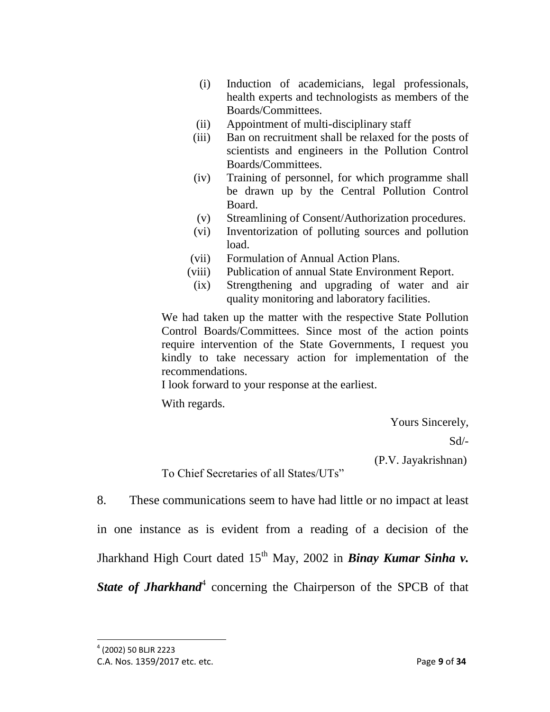- (i) Induction of academicians, legal professionals, health experts and technologists as members of the Boards/Committees.
- (ii) Appointment of multi-disciplinary staff
- (iii) Ban on recruitment shall be relaxed for the posts of scientists and engineers in the Pollution Control Boards/Committees.
- (iv) Training of personnel, for which programme shall be drawn up by the Central Pollution Control Board.
- (v) Streamlining of Consent/Authorization procedures.
- (vi) Inventorization of polluting sources and pollution load.
- (vii) Formulation of Annual Action Plans.
- (viii) Publication of annual State Environment Report.
- (ix) Strengthening and upgrading of water and air quality monitoring and laboratory facilities.

We had taken up the matter with the respective State Pollution Control Boards/Committees. Since most of the action points require intervention of the State Governments, I request you kindly to take necessary action for implementation of the recommendations.

I look forward to your response at the earliest.

With regards.

Yours Sincerely,

Sd/-

(P.V. Jayakrishnan)

To Chief Secretaries of all States/UTs"

8. These communications seem to have had little or no impact at least

in one instance as is evident from a reading of a decision of the

Jharkhand High Court dated 15<sup>th</sup> May, 2002 in **Binay Kumar Sinha v.** 

State of **Jharkhand**<sup>4</sup> concerning the Chairperson of the SPCB of that

<sup>4</sup> (2002) 50 BLJR 2223

C.A. Nos. 1359/2017 etc. etc. Page **9** of **34**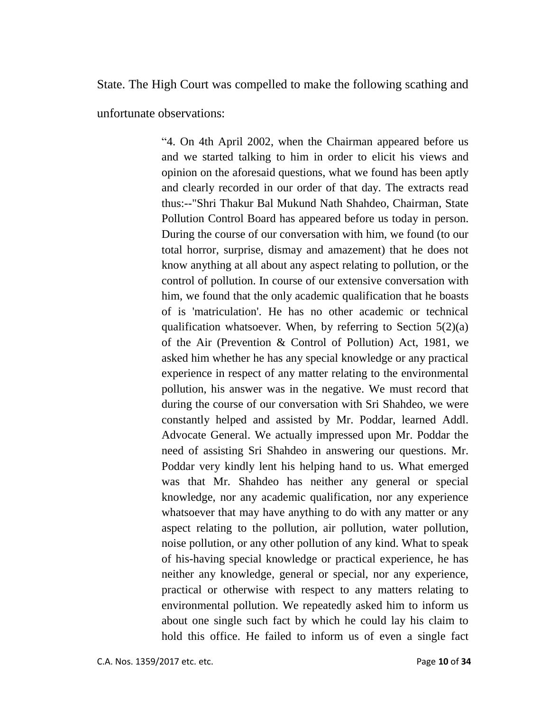State. The High Court was compelled to make the following scathing and

unfortunate observations:

"4. On 4th April 2002, when the Chairman appeared before us and we started talking to him in order to elicit his views and opinion on the aforesaid questions, what we found has been aptly and clearly recorded in our order of that day. The extracts read thus:--"Shri Thakur Bal Mukund Nath Shahdeo, Chairman, State Pollution Control Board has appeared before us today in person. During the course of our conversation with him, we found (to our total horror, surprise, dismay and amazement) that he does not know anything at all about any aspect relating to pollution, or the control of pollution. In course of our extensive conversation with him, we found that the only academic qualification that he boasts of is 'matriculation'. He has no other academic or technical qualification whatsoever. When, by referring to Section  $5(2)(a)$ of the Air (Prevention & Control of Pollution) Act, 1981, we asked him whether he has any special knowledge or any practical experience in respect of any matter relating to the environmental pollution, his answer was in the negative. We must record that during the course of our conversation with Sri Shahdeo, we were constantly helped and assisted by Mr. Poddar, learned Addl. Advocate General. We actually impressed upon Mr. Poddar the need of assisting Sri Shahdeo in answering our questions. Mr. Poddar very kindly lent his helping hand to us. What emerged was that Mr. Shahdeo has neither any general or special knowledge, nor any academic qualification, nor any experience whatsoever that may have anything to do with any matter or any aspect relating to the pollution, air pollution, water pollution, noise pollution, or any other pollution of any kind. What to speak of his-having special knowledge or practical experience, he has neither any knowledge, general or special, nor any experience, practical or otherwise with respect to any matters relating to environmental pollution. We repeatedly asked him to inform us about one single such fact by which he could lay his claim to hold this office. He failed to inform us of even a single fact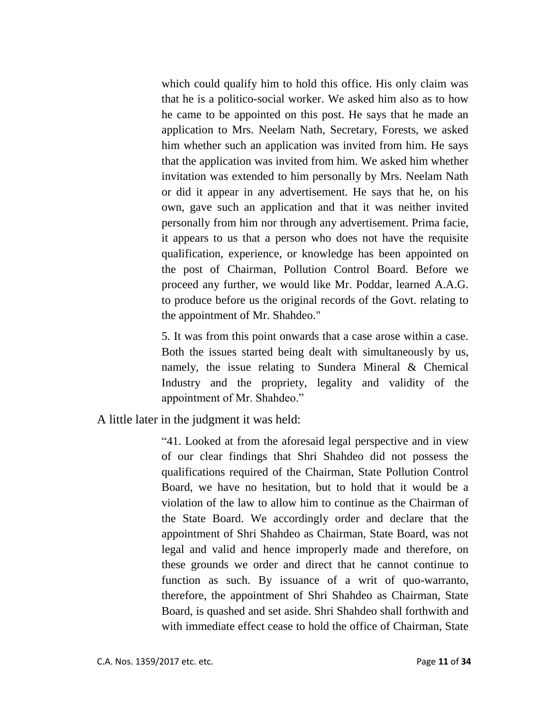which could qualify him to hold this office. His only claim was that he is a politico-social worker. We asked him also as to how he came to be appointed on this post. He says that he made an application to Mrs. Neelam Nath, Secretary, Forests, we asked him whether such an application was invited from him. He says that the application was invited from him. We asked him whether invitation was extended to him personally by Mrs. Neelam Nath or did it appear in any advertisement. He says that he, on his own, gave such an application and that it was neither invited personally from him nor through any advertisement. Prima facie, it appears to us that a person who does not have the requisite qualification, experience, or knowledge has been appointed on the post of Chairman, Pollution Control Board. Before we proceed any further, we would like Mr. Poddar, learned A.A.G. to produce before us the original records of the Govt. relating to the appointment of Mr. Shahdeo."

5. It was from this point onwards that a case arose within a case. Both the issues started being dealt with simultaneously by us, namely, the issue relating to Sundera Mineral & Chemical Industry and the propriety, legality and validity of the appointment of Mr. Shahdeo."

A little later in the judgment it was held:

"41. Looked at from the aforesaid legal perspective and in view of our clear findings that Shri Shahdeo did not possess the qualifications required of the Chairman, State Pollution Control Board, we have no hesitation, but to hold that it would be a violation of the law to allow him to continue as the Chairman of the State Board. We accordingly order and declare that the appointment of Shri Shahdeo as Chairman, State Board, was not legal and valid and hence improperly made and therefore, on these grounds we order and direct that he cannot continue to function as such. By issuance of a writ of quo-warranto, therefore, the appointment of Shri Shahdeo as Chairman, State Board, is quashed and set aside. Shri Shahdeo shall forthwith and with immediate effect cease to hold the office of Chairman, State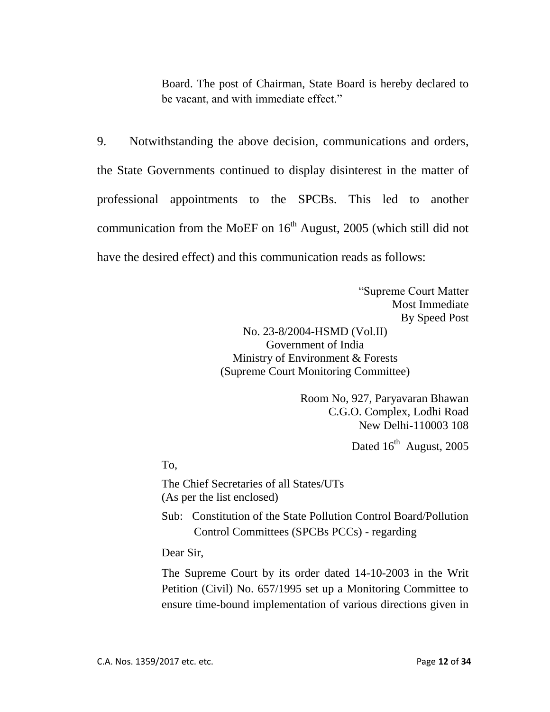Board. The post of Chairman, State Board is hereby declared to be vacant, and with immediate effect."

9. Notwithstanding the above decision, communications and orders, the State Governments continued to display disinterest in the matter of professional appointments to the SPCBs. This led to another communication from the MoEF on  $16<sup>th</sup>$  August, 2005 (which still did not have the desired effect) and this communication reads as follows:

> "Supreme Court Matter Most Immediate By Speed Post No. 23-8/2004-HSMD (Vol.II) Government of India Ministry of Environment & Forests (Supreme Court Monitoring Committee)

> > Room No, 927, Paryavaran Bhawan C.G.O. Complex, Lodhi Road New Delhi-110003 108

> > > Dated  $16^{th}$  August, 2005

To,

The Chief Secretaries of all States/UTs (As per the list enclosed)

Sub: Constitution of the State Pollution Control Board/Pollution Control Committees (SPCBs PCCs) - regarding

Dear Sir,

The Supreme Court by its order dated 14-10-2003 in the Writ Petition (Civil) No. 657/1995 set up a Monitoring Committee to ensure time-bound implementation of various directions given in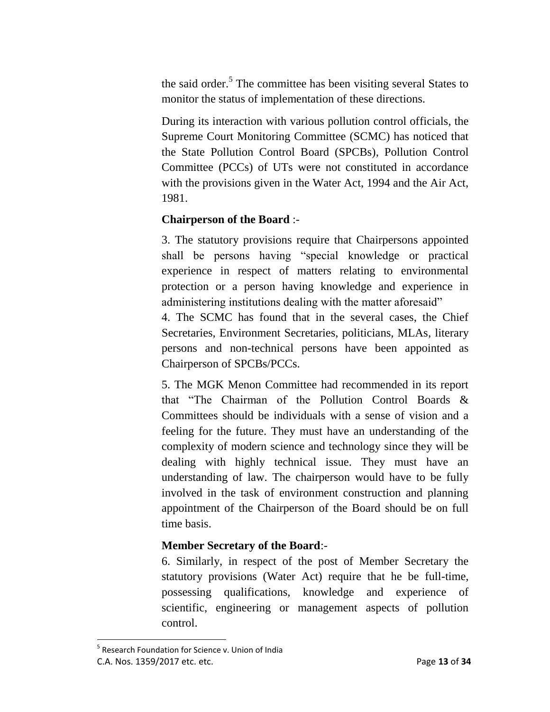the said order.<sup>5</sup> The committee has been visiting several States to monitor the status of implementation of these directions.

During its interaction with various pollution control officials, the Supreme Court Monitoring Committee (SCMC) has noticed that the State Pollution Control Board (SPCBs), Pollution Control Committee (PCCs) of UTs were not constituted in accordance with the provisions given in the Water Act, 1994 and the Air Act, 1981.

### **Chairperson of the Board** :-

3. The statutory provisions require that Chairpersons appointed shall be persons having "special knowledge or practical experience in respect of matters relating to environmental protection or a person having knowledge and experience in administering institutions dealing with the matter aforesaid"

4. The SCMC has found that in the several cases, the Chief Secretaries, Environment Secretaries, politicians, MLAs, literary persons and non-technical persons have been appointed as Chairperson of SPCBs/PCCs.

5. The MGK Menon Committee had recommended in its report that "The Chairman of the Pollution Control Boards & Committees should be individuals with a sense of vision and a feeling for the future. They must have an understanding of the complexity of modern science and technology since they will be dealing with highly technical issue. They must have an understanding of law. The chairperson would have to be fully involved in the task of environment construction and planning appointment of the Chairperson of the Board should be on full time basis.

### **Member Secretary of the Board**:-

6. Similarly, in respect of the post of Member Secretary the statutory provisions (Water Act) require that he be full-time, possessing qualifications, knowledge and experience of scientific, engineering or management aspects of pollution control.

C.A. Nos. 1359/2017 etc. etc. Page **13** of **34** <sup>5</sup> Research Foundation for Science v. Union of India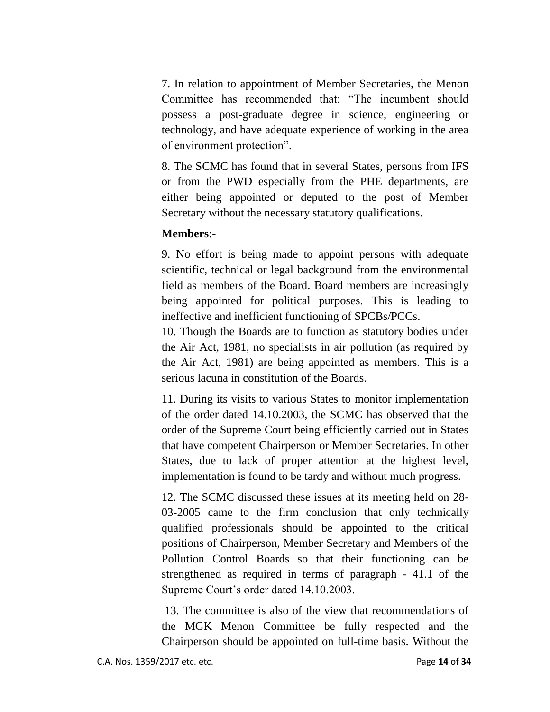7. In relation to appointment of Member Secretaries, the Menon Committee has recommended that: "The incumbent should possess a post-graduate degree in science, engineering or technology, and have adequate experience of working in the area of environment protection".

8. The SCMC has found that in several States, persons from IFS or from the PWD especially from the PHE departments, are either being appointed or deputed to the post of Member Secretary without the necessary statutory qualifications.

#### **Members**:-

9. No effort is being made to appoint persons with adequate scientific, technical or legal background from the environmental field as members of the Board. Board members are increasingly being appointed for political purposes. This is leading to ineffective and inefficient functioning of SPCBs/PCCs.

10. Though the Boards are to function as statutory bodies under the Air Act, 1981, no specialists in air pollution (as required by the Air Act, 1981) are being appointed as members. This is a serious lacuna in constitution of the Boards.

11. During its visits to various States to monitor implementation of the order dated 14.10.2003, the SCMC has observed that the order of the Supreme Court being efficiently carried out in States that have competent Chairperson or Member Secretaries. In other States, due to lack of proper attention at the highest level, implementation is found to be tardy and without much progress.

12. The SCMC discussed these issues at its meeting held on 28- 03-2005 came to the firm conclusion that only technically qualified professionals should be appointed to the critical positions of Chairperson, Member Secretary and Members of the Pollution Control Boards so that their functioning can be strengthened as required in terms of paragraph - 41.1 of the Supreme Court's order dated 14.10.2003.

13. The committee is also of the view that recommendations of the MGK Menon Committee be fully respected and the Chairperson should be appointed on full-time basis. Without the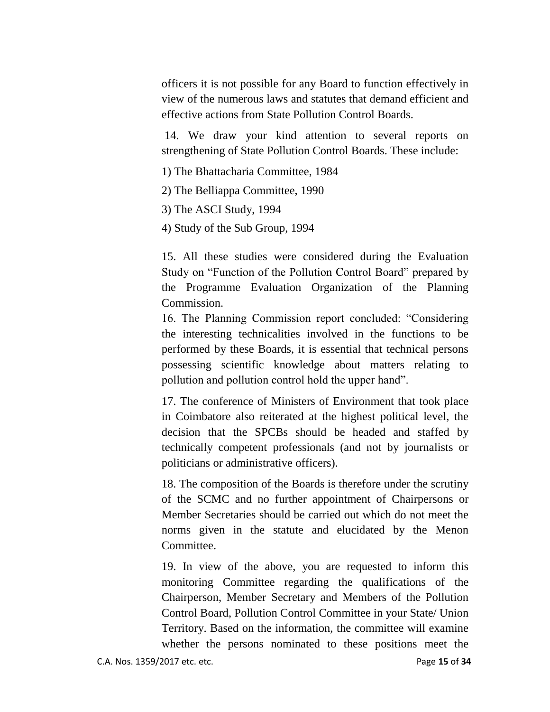officers it is not possible for any Board to function effectively in view of the numerous laws and statutes that demand efficient and effective actions from State Pollution Control Boards.

14. We draw your kind attention to several reports on strengthening of State Pollution Control Boards. These include:

1) The Bhattacharia Committee, 1984

2) The Belliappa Committee, 1990

3) The ASCI Study, 1994

4) Study of the Sub Group, 1994

15. All these studies were considered during the Evaluation Study on "Function of the Pollution Control Board" prepared by the Programme Evaluation Organization of the Planning Commission.

16. The Planning Commission report concluded: "Considering the interesting technicalities involved in the functions to be performed by these Boards, it is essential that technical persons possessing scientific knowledge about matters relating to pollution and pollution control hold the upper hand".

17. The conference of Ministers of Environment that took place in Coimbatore also reiterated at the highest political level, the decision that the SPCBs should be headed and staffed by technically competent professionals (and not by journalists or politicians or administrative officers).

18. The composition of the Boards is therefore under the scrutiny of the SCMC and no further appointment of Chairpersons or Member Secretaries should be carried out which do not meet the norms given in the statute and elucidated by the Menon Committee.

19. In view of the above, you are requested to inform this monitoring Committee regarding the qualifications of the Chairperson, Member Secretary and Members of the Pollution Control Board, Pollution Control Committee in your State/ Union Territory. Based on the information, the committee will examine whether the persons nominated to these positions meet the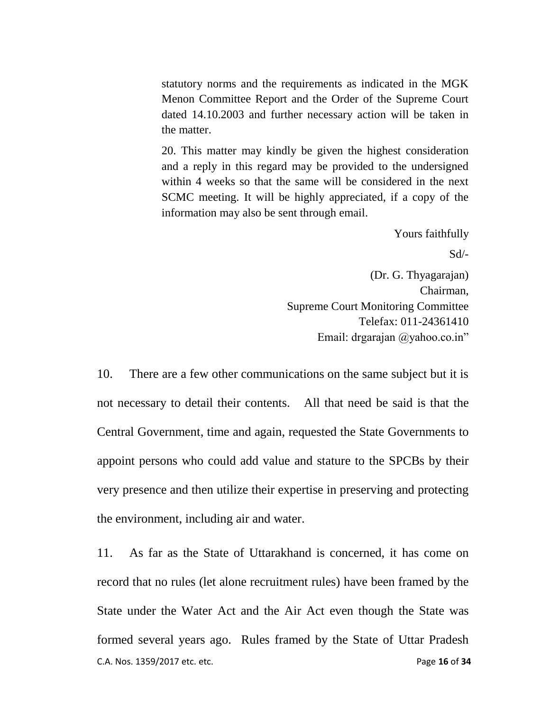statutory norms and the requirements as indicated in the MGK Menon Committee Report and the Order of the Supreme Court dated 14.10.2003 and further necessary action will be taken in the matter.

20. This matter may kindly be given the highest consideration and a reply in this regard may be provided to the undersigned within 4 weeks so that the same will be considered in the next SCMC meeting. It will be highly appreciated, if a copy of the information may also be sent through email.

Yours faithfully

Sd/-

(Dr. G. Thyagarajan) Chairman, Supreme Court Monitoring Committee Telefax: 011-24361410 Email: drgarajan @yahoo.co.in"

10. There are a few other communications on the same subject but it is not necessary to detail their contents. All that need be said is that the Central Government, time and again, requested the State Governments to appoint persons who could add value and stature to the SPCBs by their very presence and then utilize their expertise in preserving and protecting the environment, including air and water.

C.A. Nos. 1359/2017 etc. etc. Page **16** of **34** 11. As far as the State of Uttarakhand is concerned, it has come on record that no rules (let alone recruitment rules) have been framed by the State under the Water Act and the Air Act even though the State was formed several years ago. Rules framed by the State of Uttar Pradesh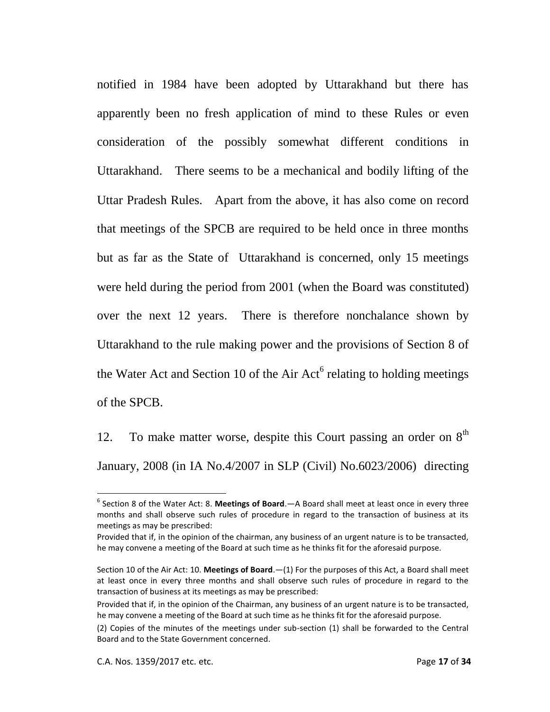notified in 1984 have been adopted by Uttarakhand but there has apparently been no fresh application of mind to these Rules or even consideration of the possibly somewhat different conditions in Uttarakhand. There seems to be a mechanical and bodily lifting of the Uttar Pradesh Rules. Apart from the above, it has also come on record that meetings of the SPCB are required to be held once in three months but as far as the State of Uttarakhand is concerned, only 15 meetings were held during the period from 2001 (when the Board was constituted) over the next 12 years. There is therefore nonchalance shown by Uttarakhand to the rule making power and the provisions of Section 8 of the Water Act and Section 10 of the Air Act<sup>6</sup> relating to holding meetings of the SPCB.

12. To make matter worse, despite this Court passing an order on  $8<sup>th</sup>$ January, 2008 (in IA No.4/2007 in SLP (Civil) No.6023/2006) directing

<sup>6</sup> Section 8 of the Water Act: 8. **Meetings of Board**.—A Board shall meet at least once in every three months and shall observe such rules of procedure in regard to the transaction of business at its meetings as may be prescribed:

Provided that if, in the opinion of the chairman, any business of an urgent nature is to be transacted, he may convene a meeting of the Board at such time as he thinks fit for the aforesaid purpose.

Section 10 of the Air Act: 10. **Meetings of Board**.—(1) For the purposes of this Act, a Board shall meet at least once in every three months and shall observe such rules of procedure in regard to the transaction of business at its meetings as may be prescribed:

Provided that if, in the opinion of the Chairman, any business of an urgent nature is to be transacted, he may convene a meeting of the Board at such time as he thinks fit for the aforesaid purpose.

<sup>(2)</sup> Copies of the minutes of the meetings under sub-section (1) shall be forwarded to the Central Board and to the State Government concerned.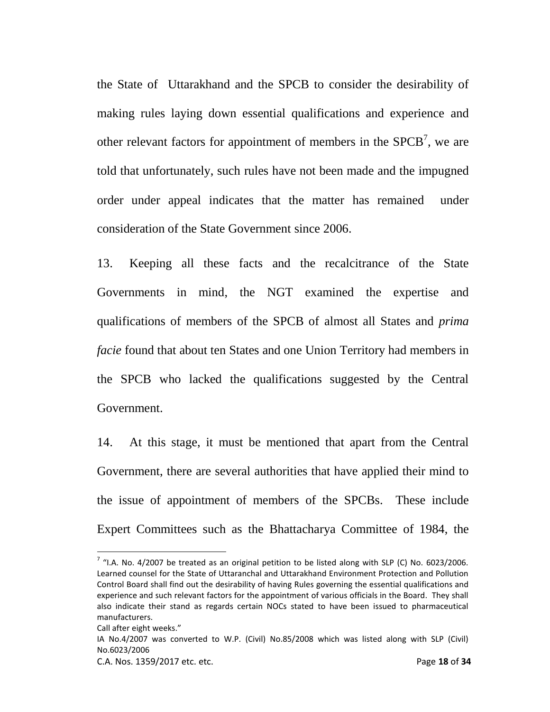the State of Uttarakhand and the SPCB to consider the desirability of making rules laying down essential qualifications and experience and other relevant factors for appointment of members in the  $SPCB<sup>7</sup>$ , we are told that unfortunately, such rules have not been made and the impugned order under appeal indicates that the matter has remained under consideration of the State Government since 2006.

13. Keeping all these facts and the recalcitrance of the State Governments in mind, the NGT examined the expertise and qualifications of members of the SPCB of almost all States and *prima facie* found that about ten States and one Union Territory had members in the SPCB who lacked the qualifications suggested by the Central Government.

14. At this stage, it must be mentioned that apart from the Central Government, there are several authorities that have applied their mind to the issue of appointment of members of the SPCBs. These include Expert Committees such as the Bhattacharya Committee of 1984, the

 $\overline{\phantom{a}}$ 

 $^7$  "I.A. No. 4/2007 be treated as an original petition to be listed along with SLP (C) No. 6023/2006. Learned counsel for the State of Uttaranchal and Uttarakhand Environment Protection and Pollution Control Board shall find out the desirability of having Rules governing the essential qualifications and experience and such relevant factors for the appointment of various officials in the Board. They shall also indicate their stand as regards certain NOCs stated to have been issued to pharmaceutical manufacturers.

Call after eight weeks."

IA No.4/2007 was converted to W.P. (Civil) No.85/2008 which was listed along with SLP (Civil) No.6023/2006

C.A. Nos. 1359/2017 etc. etc. Page **18** of **34**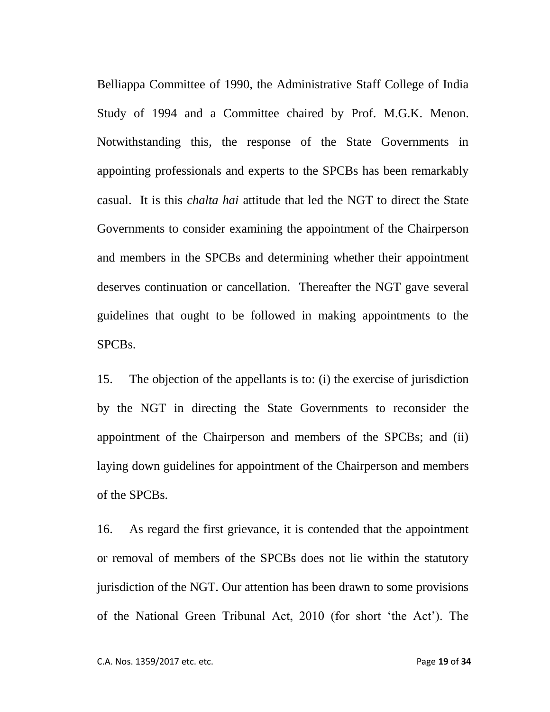Belliappa Committee of 1990, the Administrative Staff College of India Study of 1994 and a Committee chaired by Prof. M.G.K. Menon. Notwithstanding this, the response of the State Governments in appointing professionals and experts to the SPCBs has been remarkably casual. It is this *chalta hai* attitude that led the NGT to direct the State Governments to consider examining the appointment of the Chairperson and members in the SPCBs and determining whether their appointment deserves continuation or cancellation. Thereafter the NGT gave several guidelines that ought to be followed in making appointments to the SPCBs.

15. The objection of the appellants is to: (i) the exercise of jurisdiction by the NGT in directing the State Governments to reconsider the appointment of the Chairperson and members of the SPCBs; and (ii) laying down guidelines for appointment of the Chairperson and members of the SPCBs.

16. As regard the first grievance, it is contended that the appointment or removal of members of the SPCBs does not lie within the statutory jurisdiction of the NGT. Our attention has been drawn to some provisions of the National Green Tribunal Act, 2010 (for short 'the Act'). The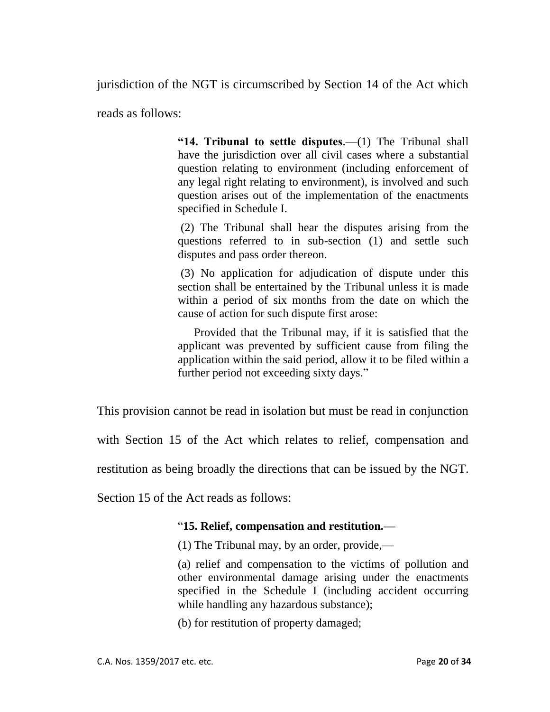jurisdiction of the NGT is circumscribed by Section 14 of the Act which

reads as follows:

**"14. Tribunal to settle disputes**.—(1) The Tribunal shall have the jurisdiction over all civil cases where a substantial question relating to environment (including enforcement of any legal right relating to environment), is involved and such question arises out of the implementation of the enactments specified in Schedule I.

(2) The Tribunal shall hear the disputes arising from the questions referred to in sub-section (1) and settle such disputes and pass order thereon.

(3) No application for adjudication of dispute under this section shall be entertained by the Tribunal unless it is made within a period of six months from the date on which the cause of action for such dispute first arose:

Provided that the Tribunal may, if it is satisfied that the applicant was prevented by sufficient cause from filing the application within the said period, allow it to be filed within a further period not exceeding sixty days."

This provision cannot be read in isolation but must be read in conjunction

with Section 15 of the Act which relates to relief, compensation and

restitution as being broadly the directions that can be issued by the NGT.

Section 15 of the Act reads as follows:

### "**15. Relief, compensation and restitution.—**

(1) The Tribunal may, by an order, provide,—

(a) relief and compensation to the victims of pollution and other environmental damage arising under the enactments specified in the Schedule I (including accident occurring while handling any hazardous substance);

(b) for restitution of property damaged;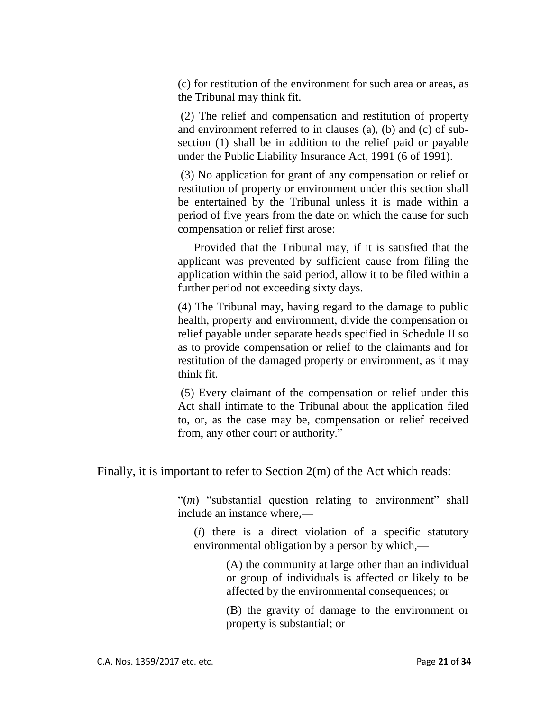(c) for restitution of the environment for such area or areas, as the Tribunal may think fit.

(2) The relief and compensation and restitution of property and environment referred to in clauses (a), (b) and (c) of subsection (1) shall be in addition to the relief paid or payable under the Public Liability Insurance Act, 1991 (6 of 1991).

(3) No application for grant of any compensation or relief or restitution of property or environment under this section shall be entertained by the Tribunal unless it is made within a period of five years from the date on which the cause for such compensation or relief first arose:

Provided that the Tribunal may, if it is satisfied that the applicant was prevented by sufficient cause from filing the application within the said period, allow it to be filed within a further period not exceeding sixty days.

(4) The Tribunal may, having regard to the damage to public health, property and environment, divide the compensation or relief payable under separate heads specified in Schedule II so as to provide compensation or relief to the claimants and for restitution of the damaged property or environment, as it may think fit.

(5) Every claimant of the compensation or relief under this Act shall intimate to the Tribunal about the application filed to, or, as the case may be, compensation or relief received from, any other court or authority."

Finally, it is important to refer to Section 2(m) of the Act which reads:

"(*m*) "substantial question relating to environment" shall include an instance where,—

(*i*) there is a direct violation of a specific statutory environmental obligation by a person by which,—

> (A) the community at large other than an individual or group of individuals is affected or likely to be affected by the environmental consequences; or

> (B) the gravity of damage to the environment or property is substantial; or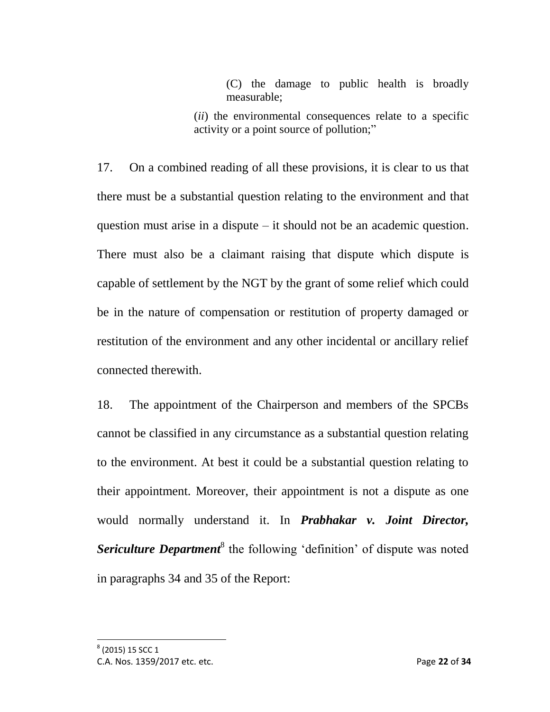(C) the damage to public health is broadly measurable;

(*ii*) the environmental consequences relate to a specific activity or a point source of pollution;"

17. On a combined reading of all these provisions, it is clear to us that there must be a substantial question relating to the environment and that question must arise in a dispute – it should not be an academic question. There must also be a claimant raising that dispute which dispute is capable of settlement by the NGT by the grant of some relief which could be in the nature of compensation or restitution of property damaged or restitution of the environment and any other incidental or ancillary relief connected therewith.

18. The appointment of the Chairperson and members of the SPCBs cannot be classified in any circumstance as a substantial question relating to the environment. At best it could be a substantial question relating to their appointment. Moreover, their appointment is not a dispute as one would normally understand it. In *Prabhakar v. Joint Director,*  Sericulture Department<sup>8</sup> the following 'definition' of dispute was noted in paragraphs 34 and 35 of the Report:

C.A. Nos. 1359/2017 etc. etc. Page **22** of **34**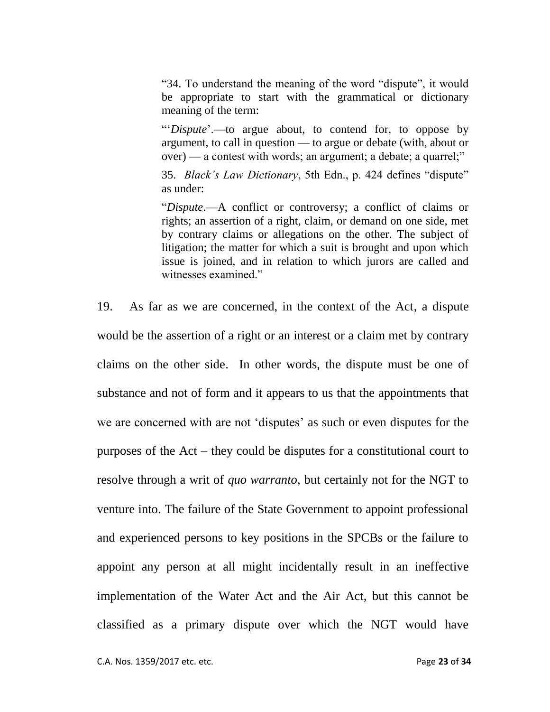"34. To understand the meaning of the word "dispute", it would be appropriate to start with the grammatical or dictionary meaning of the term:

"'*Dispute*'.—to argue about, to contend for, to oppose by argument, to call in question — to argue or debate (with, about or over) — a contest with words; an argument; a debate; a quarrel;"

35. *Black's Law Dictionary*, 5th Edn., p. 424 defines "dispute" as under:

"*Dispute*.—A conflict or controversy; a conflict of claims or rights; an assertion of a right, claim, or demand on one side, met by contrary claims or allegations on the other. The subject of litigation; the matter for which a suit is brought and upon which issue is joined, and in relation to which jurors are called and witnesses examined."

19. As far as we are concerned, in the context of the Act, a dispute would be the assertion of a right or an interest or a claim met by contrary claims on the other side. In other words, the dispute must be one of substance and not of form and it appears to us that the appointments that we are concerned with are not 'disputes' as such or even disputes for the purposes of the Act – they could be disputes for a constitutional court to resolve through a writ of *quo warranto*, but certainly not for the NGT to venture into. The failure of the State Government to appoint professional and experienced persons to key positions in the SPCBs or the failure to appoint any person at all might incidentally result in an ineffective implementation of the Water Act and the Air Act, but this cannot be classified as a primary dispute over which the NGT would have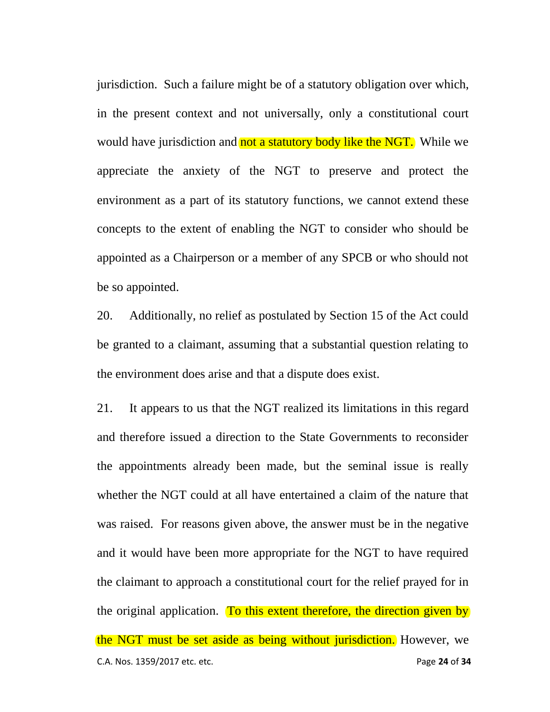jurisdiction. Such a failure might be of a statutory obligation over which, in the present context and not universally, only a constitutional court would have jurisdiction and not a statutory body like the NGT. While we appreciate the anxiety of the NGT to preserve and protect the environment as a part of its statutory functions, we cannot extend these concepts to the extent of enabling the NGT to consider who should be appointed as a Chairperson or a member of any SPCB or who should not be so appointed.

20. Additionally, no relief as postulated by Section 15 of the Act could be granted to a claimant, assuming that a substantial question relating to the environment does arise and that a dispute does exist.

C.A. Nos. 1359/2017 etc. etc. Page **24** of **34** 21. It appears to us that the NGT realized its limitations in this regard and therefore issued a direction to the State Governments to reconsider the appointments already been made, but the seminal issue is really whether the NGT could at all have entertained a claim of the nature that was raised. For reasons given above, the answer must be in the negative and it would have been more appropriate for the NGT to have required the claimant to approach a constitutional court for the relief prayed for in the original application. To this extent therefore, the direction given by the NGT must be set aside as being without jurisdiction. However, we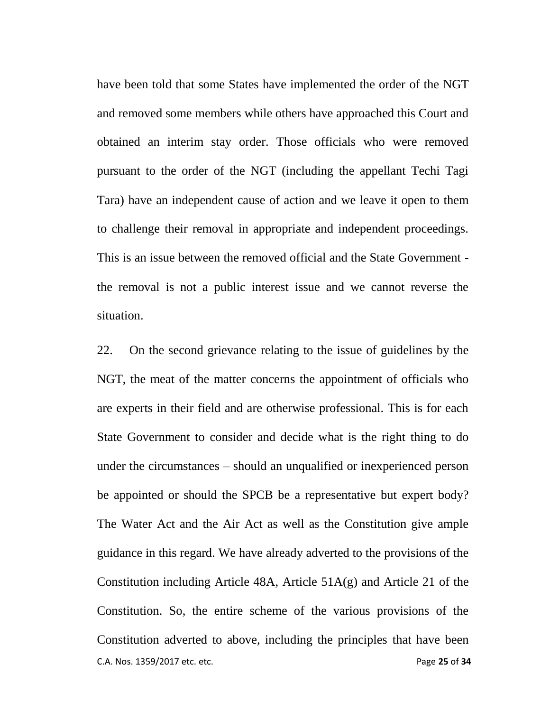have been told that some States have implemented the order of the NGT and removed some members while others have approached this Court and obtained an interim stay order. Those officials who were removed pursuant to the order of the NGT (including the appellant Techi Tagi Tara) have an independent cause of action and we leave it open to them to challenge their removal in appropriate and independent proceedings. This is an issue between the removed official and the State Government the removal is not a public interest issue and we cannot reverse the situation.

C.A. Nos. 1359/2017 etc. etc. Page **25** of **34** 22. On the second grievance relating to the issue of guidelines by the NGT, the meat of the matter concerns the appointment of officials who are experts in their field and are otherwise professional. This is for each State Government to consider and decide what is the right thing to do under the circumstances – should an unqualified or inexperienced person be appointed or should the SPCB be a representative but expert body? The Water Act and the Air Act as well as the Constitution give ample guidance in this regard. We have already adverted to the provisions of the Constitution including Article 48A, Article 51A(g) and Article 21 of the Constitution. So, the entire scheme of the various provisions of the Constitution adverted to above, including the principles that have been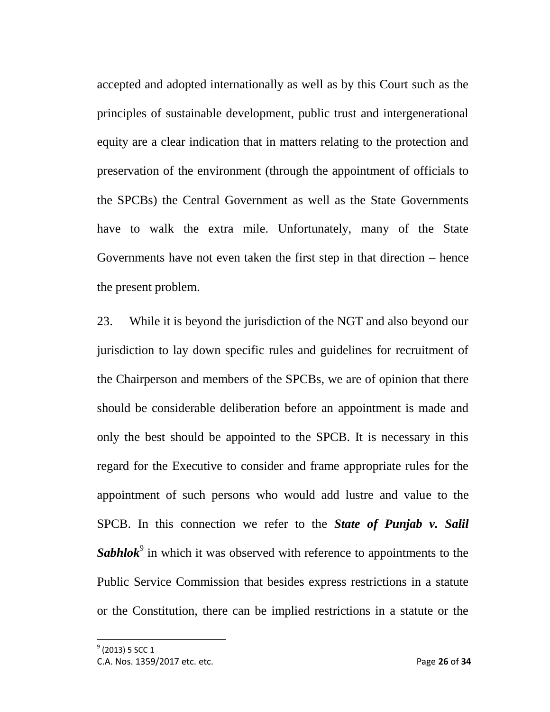accepted and adopted internationally as well as by this Court such as the principles of sustainable development, public trust and intergenerational equity are a clear indication that in matters relating to the protection and preservation of the environment (through the appointment of officials to the SPCBs) the Central Government as well as the State Governments have to walk the extra mile. Unfortunately, many of the State Governments have not even taken the first step in that direction – hence the present problem.

23. While it is beyond the jurisdiction of the NGT and also beyond our jurisdiction to lay down specific rules and guidelines for recruitment of the Chairperson and members of the SPCBs, we are of opinion that there should be considerable deliberation before an appointment is made and only the best should be appointed to the SPCB. It is necessary in this regard for the Executive to consider and frame appropriate rules for the appointment of such persons who would add lustre and value to the SPCB. In this connection we refer to the *State of Punjab v. Salil*  Sabhlok<sup>9</sup> in which it was observed with reference to appointments to the Public Service Commission that besides express restrictions in a statute or the Constitution, there can be implied restrictions in a statute or the

C.A. Nos. 1359/2017 etc. etc. Page **26** of **34**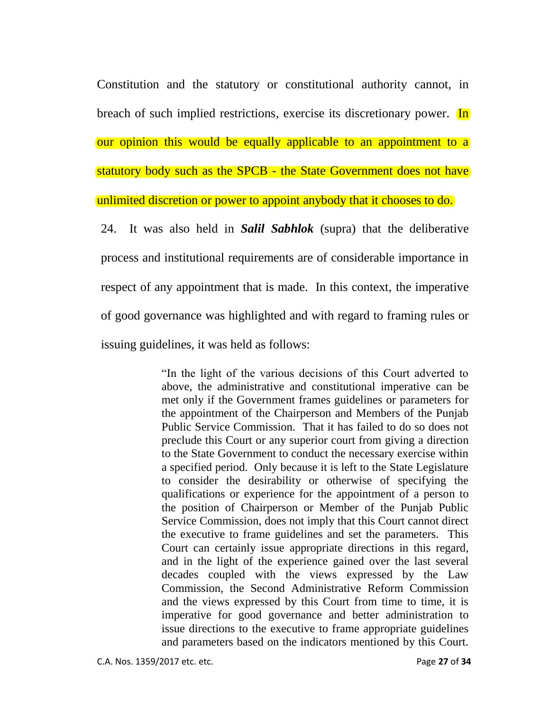Constitution and the statutory or constitutional authority cannot, in breach of such implied restrictions, exercise its discretionary power. In our opinion this would be equally applicable to an appointment to a statutory body such as the SPCB - the State Government does not have unlimited discretion or power to appoint anybody that it chooses to do. 24. It was also held in *Salil Sabhlok* (supra) that the deliberative

process and institutional requirements are of considerable importance in respect of any appointment that is made. In this context, the imperative of good governance was highlighted and with regard to framing rules or issuing guidelines, it was held as follows:

> "In the light of the various decisions of this Court adverted to above, the administrative and constitutional imperative can be met only if the Government frames guidelines or parameters for the appointment of the Chairperson and Members of the Punjab Public Service Commission. That it has failed to do so does not preclude this Court or any superior court from giving a direction to the State Government to conduct the necessary exercise within a specified period. Only because it is left to the State Legislature to consider the desirability or otherwise of specifying the qualifications or experience for the appointment of a person to the position of Chairperson or Member of the Punjab Public Service Commission, does not imply that this Court cannot direct the executive to frame guidelines and set the parameters. This Court can certainly issue appropriate directions in this regard, and in the light of the experience gained over the last several decades coupled with the views expressed by the Law Commission, the Second Administrative Reform Commission and the views expressed by this Court from time to time, it is imperative for good governance and better administration to issue directions to the executive to frame appropriate guidelines and parameters based on the indicators mentioned by this Court.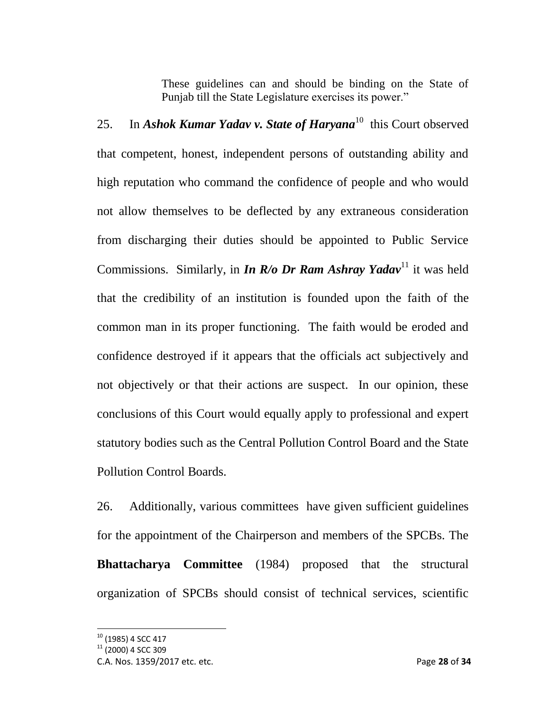These guidelines can and should be binding on the State of Punjab till the State Legislature exercises its power."

25. In *Ashok Kumar Yadav v. State of Haryana*<sup>10</sup> this Court observed that competent, honest, independent persons of outstanding ability and high reputation who command the confidence of people and who would not allow themselves to be deflected by any extraneous consideration from discharging their duties should be appointed to Public Service Commissions. Similarly, in *In R/o Dr Ram Ashray Yadav*<sup>11</sup> it was held that the credibility of an institution is founded upon the faith of the common man in its proper functioning. The faith would be eroded and confidence destroyed if it appears that the officials act subjectively and not objectively or that their actions are suspect. In our opinion, these conclusions of this Court would equally apply to professional and expert statutory bodies such as the Central Pollution Control Board and the State Pollution Control Boards.

26. Additionally, various committees have given sufficient guidelines for the appointment of the Chairperson and members of the SPCBs. The **Bhattacharya Committee** (1984) proposed that the structural organization of SPCBs should consist of technical services, scientific

 $\overline{\phantom{a}}$ 

 $10$  (1985) 4 SCC 417

 $11$  (2000) 4 SCC 309

C.A. Nos. 1359/2017 etc. etc. Page **28** of **34**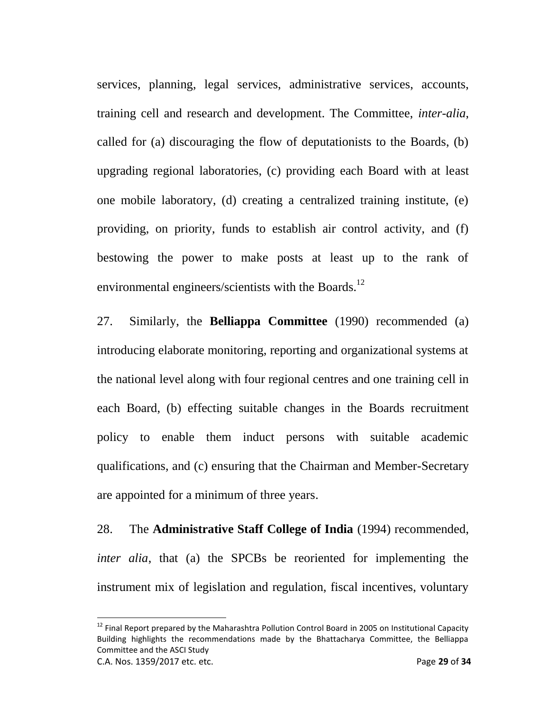services, planning, legal services, administrative services, accounts, training cell and research and development. The Committee, *inter-alia*, called for (a) discouraging the flow of deputationists to the Boards, (b) upgrading regional laboratories, (c) providing each Board with at least one mobile laboratory, (d) creating a centralized training institute, (e) providing, on priority, funds to establish air control activity, and (f) bestowing the power to make posts at least up to the rank of environmental engineers/scientists with the Boards.<sup>12</sup>

27. Similarly, the **Belliappa Committee** (1990) recommended (a) introducing elaborate monitoring, reporting and organizational systems at the national level along with four regional centres and one training cell in each Board, (b) effecting suitable changes in the Boards recruitment policy to enable them induct persons with suitable academic qualifications, and (c) ensuring that the Chairman and Member-Secretary are appointed for a minimum of three years.

28. The **Administrative Staff College of India** (1994) recommended, *inter alia*, that (a) the SPCBs be reoriented for implementing the instrument mix of legislation and regulation, fiscal incentives, voluntary

 $\overline{a}$ 

C.A. Nos. 1359/2017 etc. etc. Page **29** of **34**  $^{12}$  Final Report prepared by the Maharashtra Pollution Control Board in 2005 on Institutional Capacity Building highlights the recommendations made by the Bhattacharya Committee, the Belliappa Committee and the ASCI Study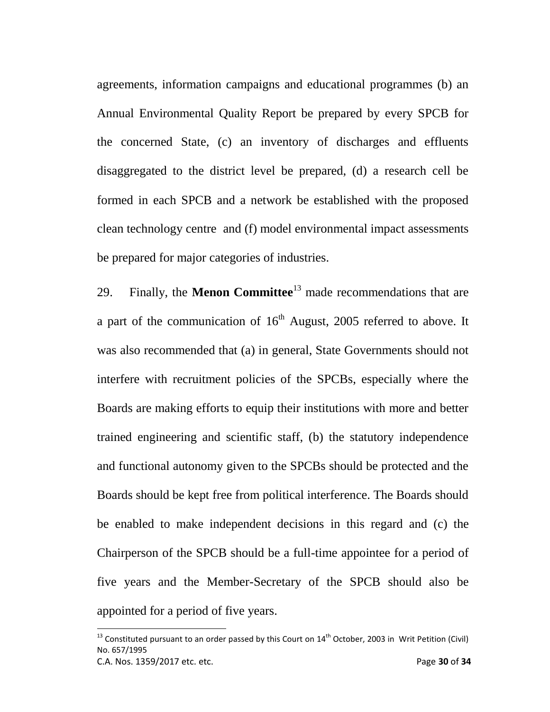agreements, information campaigns and educational programmes (b) an Annual Environmental Quality Report be prepared by every SPCB for the concerned State, (c) an inventory of discharges and effluents disaggregated to the district level be prepared, (d) a research cell be formed in each SPCB and a network be established with the proposed clean technology centre and (f) model environmental impact assessments be prepared for major categories of industries.

29. Finally, the **Menon Committee**<sup>13</sup> made recommendations that are a part of the communication of  $16<sup>th</sup>$  August, 2005 referred to above. It was also recommended that (a) in general, State Governments should not interfere with recruitment policies of the SPCBs, especially where the Boards are making efforts to equip their institutions with more and better trained engineering and scientific staff, (b) the statutory independence and functional autonomy given to the SPCBs should be protected and the Boards should be kept free from political interference. The Boards should be enabled to make independent decisions in this regard and (c) the Chairperson of the SPCB should be a full-time appointee for a period of five years and the Member-Secretary of the SPCB should also be appointed for a period of five years.

 $\overline{\phantom{a}}$ 

<sup>&</sup>lt;sup>13</sup> Constituted pursuant to an order passed by this Court on  $14<sup>th</sup>$  October, 2003 in Writ Petition (Civil) No. 657/1995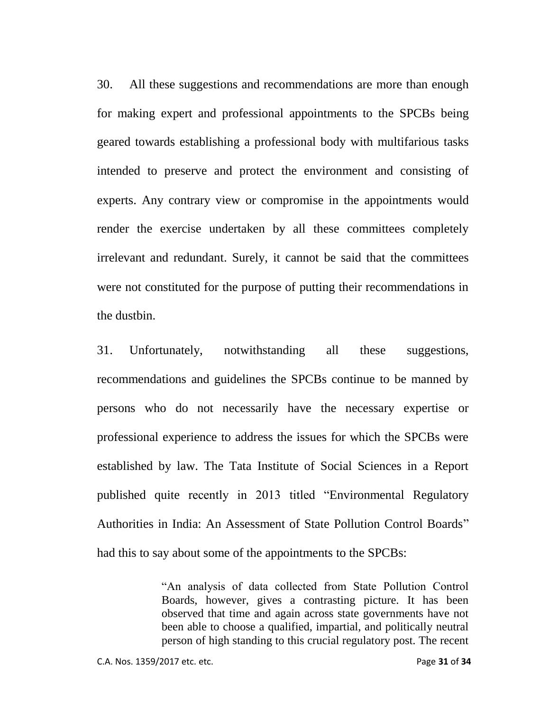30. All these suggestions and recommendations are more than enough for making expert and professional appointments to the SPCBs being geared towards establishing a professional body with multifarious tasks intended to preserve and protect the environment and consisting of experts. Any contrary view or compromise in the appointments would render the exercise undertaken by all these committees completely irrelevant and redundant. Surely, it cannot be said that the committees were not constituted for the purpose of putting their recommendations in the dustbin.

31. Unfortunately, notwithstanding all these suggestions, recommendations and guidelines the SPCBs continue to be manned by persons who do not necessarily have the necessary expertise or professional experience to address the issues for which the SPCBs were established by law. The Tata Institute of Social Sciences in a Report published quite recently in 2013 titled "Environmental Regulatory Authorities in India: An Assessment of State Pollution Control Boards" had this to say about some of the appointments to the SPCBs:

> "An analysis of data collected from State Pollution Control Boards, however, gives a contrasting picture. It has been observed that time and again across state governments have not been able to choose a qualified, impartial, and politically neutral person of high standing to this crucial regulatory post. The recent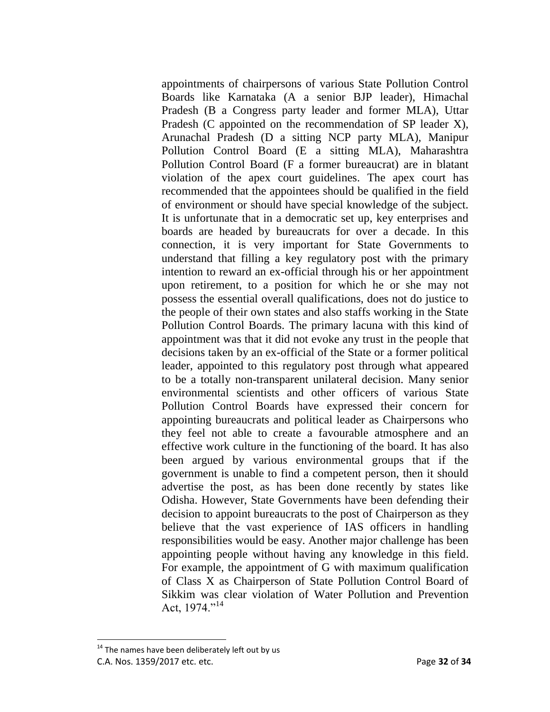appointments of chairpersons of various State Pollution Control Boards like Karnataka (A a senior BJP leader), Himachal Pradesh (B a Congress party leader and former MLA), Uttar Pradesh (C appointed on the recommendation of SP leader X), Arunachal Pradesh (D a sitting NCP party MLA), Manipur Pollution Control Board (E a sitting MLA), Maharashtra Pollution Control Board (F a former bureaucrat) are in blatant violation of the apex court guidelines. The apex court has recommended that the appointees should be qualified in the field of environment or should have special knowledge of the subject. It is unfortunate that in a democratic set up, key enterprises and boards are headed by bureaucrats for over a decade. In this connection, it is very important for State Governments to understand that filling a key regulatory post with the primary intention to reward an ex-official through his or her appointment upon retirement, to a position for which he or she may not possess the essential overall qualifications, does not do justice to the people of their own states and also staffs working in the State Pollution Control Boards. The primary lacuna with this kind of appointment was that it did not evoke any trust in the people that decisions taken by an ex-official of the State or a former political leader, appointed to this regulatory post through what appeared to be a totally non-transparent unilateral decision. Many senior environmental scientists and other officers of various State Pollution Control Boards have expressed their concern for appointing bureaucrats and political leader as Chairpersons who they feel not able to create a favourable atmosphere and an effective work culture in the functioning of the board. It has also been argued by various environmental groups that if the government is unable to find a competent person, then it should advertise the post, as has been done recently by states like Odisha. However, State Governments have been defending their decision to appoint bureaucrats to the post of Chairperson as they believe that the vast experience of IAS officers in handling responsibilities would be easy. Another major challenge has been appointing people without having any knowledge in this field. For example, the appointment of G with maximum qualification of Class X as Chairperson of State Pollution Control Board of Sikkim was clear violation of Water Pollution and Prevention Act, 1974."<sup>14</sup>

C.A. Nos. 1359/2017 etc. etc. Page **32** of **34**  $14$  The names have been deliberately left out by us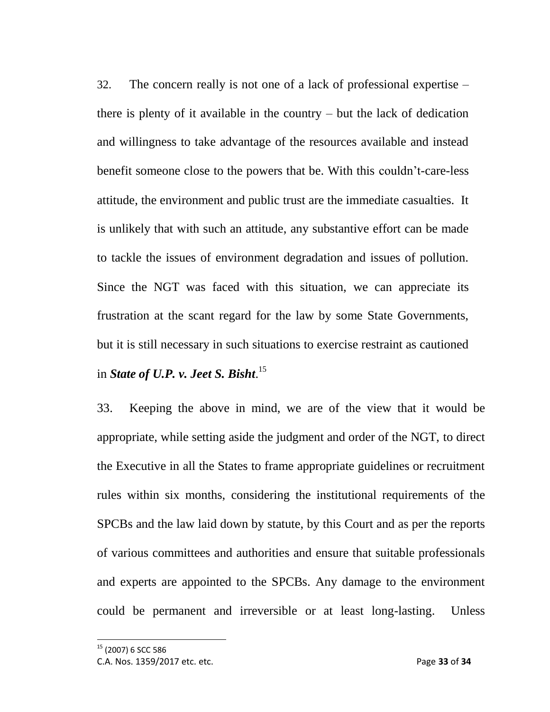32. The concern really is not one of a lack of professional expertise – there is plenty of it available in the country – but the lack of dedication and willingness to take advantage of the resources available and instead benefit someone close to the powers that be. With this couldn't-care-less attitude, the environment and public trust are the immediate casualties. It is unlikely that with such an attitude, any substantive effort can be made to tackle the issues of environment degradation and issues of pollution. Since the NGT was faced with this situation, we can appreciate its frustration at the scant regard for the law by some State Governments, but it is still necessary in such situations to exercise restraint as cautioned in *State of U.P. v. Jeet S. Bisht*. 15

33. Keeping the above in mind, we are of the view that it would be appropriate, while setting aside the judgment and order of the NGT, to direct the Executive in all the States to frame appropriate guidelines or recruitment rules within six months, considering the institutional requirements of the SPCBs and the law laid down by statute, by this Court and as per the reports of various committees and authorities and ensure that suitable professionals and experts are appointed to the SPCBs. Any damage to the environment could be permanent and irreversible or at least long-lasting. Unless

<sup>15</sup> (2007) 6 SCC 586

C.A. Nos. 1359/2017 etc. etc. Page **33** of **34**